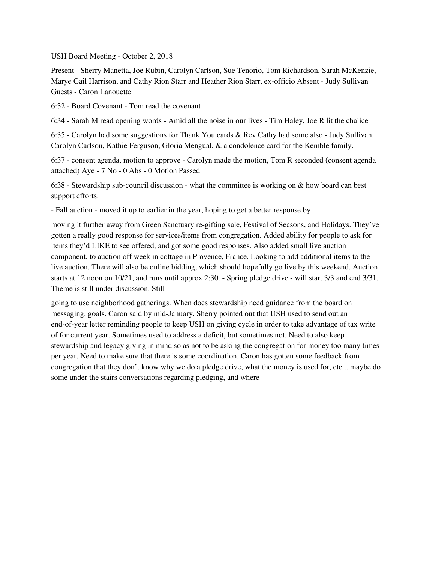USH Board Meeting - October 2, 2018

Present - Sherry Manetta, Joe Rubin, Carolyn Carlson, Sue Tenorio, Tom Richardson, Sarah McKenzie, Marye Gail Harrison, and Cathy Rion Starr and Heather Rion Starr, ex-officio Absent - Judy Sullivan Guests - Caron Lanouette

6:32 - Board Covenant - Tom read the covenant

6:34 - Sarah M read opening words - Amid all the noise in our lives - Tim Haley, Joe R lit the chalice

6:35 - Carolyn had some suggestions for Thank You cards & Rev Cathy had some also - Judy Sullivan, Carolyn Carlson, Kathie Ferguson, Gloria Mengual, & a condolence card for the Kemble family.

6:37 - consent agenda, motion to approve - Carolyn made the motion, Tom R seconded (consent agenda attached) Aye - 7 No - 0 Abs - 0 Motion Passed

6:38 - Stewardship sub-council discussion - what the committee is working on & how board can best support efforts.

- Fall auction - moved it up to earlier in the year, hoping to get a better response by

moving it further away from Green Sanctuary re-gifting sale, Festival of Seasons, and Holidays. They've gotten a really good response for services/items from congregation. Added ability for people to ask for items they'd LIKE to see offered, and got some good responses. Also added small live auction component, to auction off week in cottage in Provence, France. Looking to add additional items to the live auction. There will also be online bidding, which should hopefully go live by this weekend. Auction starts at 12 noon on 10/21, and runs until approx 2:30. - Spring pledge drive - will start 3/3 and end 3/31. Theme is still under discussion. Still

going to use neighborhood gatherings. When does stewardship need guidance from the board on messaging, goals. Caron said by mid-January. Sherry pointed out that USH used to send out an end-of-year letter reminding people to keep USH on giving cycle in order to take advantage of tax write of for current year. Sometimes used to address a deficit, but sometimes not. Need to also keep stewardship and legacy giving in mind so as not to be asking the congregation for money too many times per year. Need to make sure that there is some coordination. Caron has gotten some feedback from congregation that they don't know why we do a pledge drive, what the money is used for, etc... maybe do some under the stairs conversations regarding pledging, and where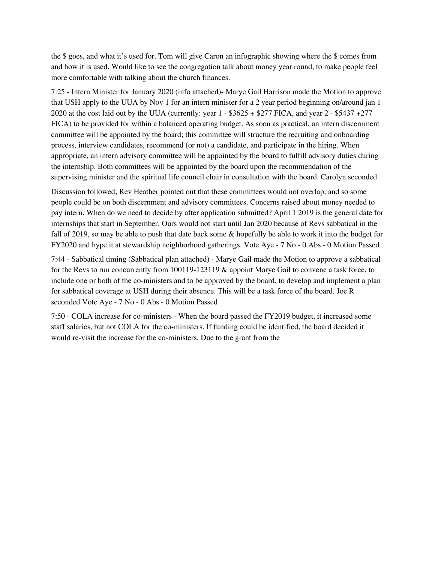the \$ goes, and what it's used for. Tom will give Caron an infographic showing where the \$ comes from and how it is used. Would like to see the congregation talk about money year round, to make people feel more comfortable with talking about the church finances.

7:25 - Intern Minister for January 2020 (info attached)- Marye Gail Harrison made the Motion to approve that USH apply to the UUA by Nov 1 for an intern minister for a 2 year period beginning on/around jan 1 2020 at the cost laid out by the UUA (currently: year 1 - \$3625 + \$277 FICA, and year 2 - \$5437 +277 FICA) to be provided for within a balanced operating budget. As soon as practical, an intern discernment committee will be appointed by the board; this committee will structure the recruiting and onboarding process, interview candidates, recommend (or not) a candidate, and participate in the hiring. When appropriate, an intern advisory committee will be appointed by the board to fulfill advisory duties during the internship. Both committees will be appointed by the board upon the recommendation of the supervising minister and the spiritual life council chair in consultation with the board. Carolyn seconded.

Discussion followed; Rev Heather pointed out that these committees would not overlap, and so some people could be on both discernment and advisory committees. Concerns raised about money needed to pay intern. When do we need to decide by after application submitted? April 1 2019 is the general date for internships that start in September. Ours would not start until Jan 2020 because of Revs sabbatical in the fall of 2019, so may be able to push that date back some & hopefully be able to work it into the budget for FY2020 and hype it at stewardship neighborhood gatherings. Vote Aye - 7 No - 0 Abs - 0 Motion Passed

7:44 - Sabbatical timing (Sabbatical plan attached) - Marye Gail made the Motion to approve a sabbatical for the Revs to run concurrently from 100119-123119 & appoint Marye Gail to convene a task force, to include one or both of the co-ministers and to be approved by the board, to develop and implement a plan for sabbatical coverage at USH during their absence. This will be a task force of the board. Joe R seconded Vote Aye - 7 No - 0 Abs - 0 Motion Passed

7:50 - COLA increase for co-ministers - When the board passed the FY2019 budget, it increased some staff salaries, but not COLA for the co-ministers. If funding could be identified, the board decided it would re-visit the increase for the co-ministers. Due to the grant from the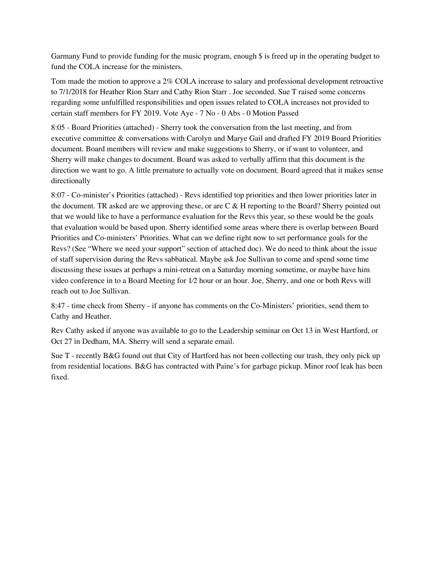Garmany Fund to provide funding for the music program, enough \$ is freed up in the operating budget to fund the COLA increase for the ministers.

Tom made the motion to approve a 2% COLA increase to salary and professional development retroactive to 7/1/2018 for Heather Rion Starr and Cathy Rion Starr . Joe seconded. Sue T raised some concerns regarding some unfulfilled responsibilities and open issues related to COLA increases not provided to certain staff members for FY 2019. Vote Aye - 7 No - 0 Abs - 0 Motion Passed

8:05 - Board Priorities (attached) - Sherry took the conversation from the last meeting, and from executive committee & conversations with Carolyn and Marye Gail and drafted FY 2019 Board Priorities document. Board members will review and make suggestions to Sherry, or if want to volunteer, and Sherry will make changes to document. Board was asked to verbally affirm that this document is the direction we want to go. A little premature to actually vote on document. Board agreed that it makes sense directionally

8:07 - Co-minister's Priorities (attached) - Revs identified top priorities and then lower priorities later in the document. TR asked are we approving these, or are  $C \& H$  reporting to the Board? Sherry pointed out that we would like to have a performance evaluation for the Revs this year, so these would be the goals that evaluation would be based upon. Sherry identified some areas where there is overlap between Board Priorities and Co-ministers' Priorities. What can we define right now to set performance goals for the Revs? (See "Where we need your support" section of attached doc). We do need to think about the issue of staff supervision during the Revs sabbatical. Maybe ask Joe Sullivan to come and spend some time discussing these issues at perhaps a mini-retreat on a Saturday morning sometime, or maybe have him video conference in to a Board Meeting for 1⁄2 hour or an hour. Joe, Sherry, and one or both Revs will reach out to Joe Sullivan.

8:47 - time check from Sherry - if anyone has comments on the Co-Ministers' priorities, send them to Cathy and Heather.

Rev Cathy asked if anyone was available to go to the Leadership seminar on Oct 13 in West Hartford, or Oct 27 in Dedham, MA. Sherry will send a separate email.

Sue T - recently B&G found out that City of Hartford has not been collecting our trash, they only pick up from residential locations. B&G has contracted with Paine's for garbage pickup. Minor roof leak has been fixed.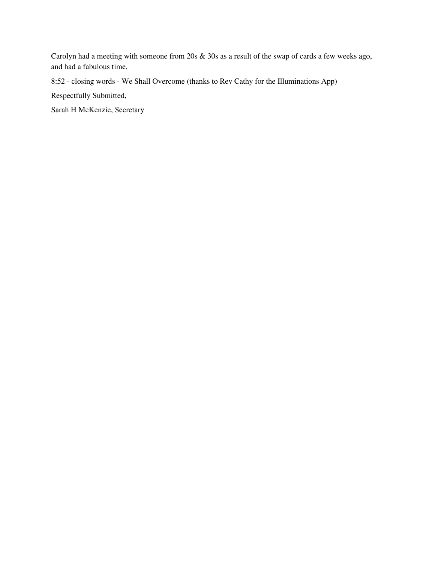Carolyn had a meeting with someone from 20s & 30s as a result of the swap of cards a few weeks ago, and had a fabulous time.

8:52 - closing words - We Shall Overcome (thanks to Rev Cathy for the Illuminations App)

Respectfully Submitted,

Sarah H McKenzie, Secretary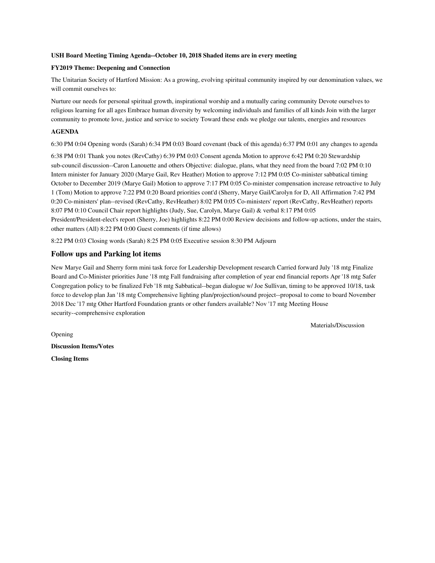#### **USH Board Meeting Timing Agenda--October 10, 2018 Shaded items are in every meeting**

#### **FY2019 Theme: Deepening and Connection**

The Unitarian Society of Hartford Mission: As a growing, evolving spiritual community inspired by our denomination values, we will commit ourselves to:

Nurture our needs for personal spiritual growth, inspirational worship and a mutually caring community Devote ourselves to religious learning for all ages Embrace human diversity by welcoming individuals and families of all kinds Join with the larger community to promote love, justice and service to society Toward these ends we pledge our talents, energies and resources

#### **AGENDA**

6:30 PM 0:04 Opening words (Sarah) 6:34 PM 0:03 Board covenant (back of this agenda) 6:37 PM 0:01 any changes to agenda

6:38 PM 0:01 Thank you notes (RevCathy) 6:39 PM 0:03 Consent agenda Motion to approve 6:42 PM 0:20 Stewardship sub-council discussion--Caron Lanouette and others Objective: dialogue, plans, what they need from the board 7:02 PM 0:10 Intern minister for January 2020 (Marye Gail, Rev Heather) Motion to approve 7:12 PM 0:05 Co-minister sabbatical timing October to December 2019 (Marye Gail) Motion to approve 7:17 PM 0:05 Co-minister compensation increase retroactive to July 1 (Tom) Motion to approve 7:22 PM 0:20 Board priorities cont'd (Sherry, Marye Gail/Carolyn for D, All Affirmation 7:42 PM 0:20 Co-ministers' plan--revised (RevCathy, RevHeather) 8:02 PM 0:05 Co-ministers' report (RevCathy, RevHeather) reports 8:07 PM 0:10 Council Chair report highlights (Judy, Sue, Carolyn, Marye Gail) & verbal 8:17 PM 0:05 President/President-elect's report (Sherry, Joe) highlights 8:22 PM 0:00 Review decisions and follow-up actions, under the stairs, other matters (All) 8:22 PM 0:00 Guest comments (if time allows)

8:22 PM 0:03 Closing words (Sarah) 8:25 PM 0:05 Executive session 8:30 PM Adjourn

#### **Follow ups and Parking lot items**

New Marye Gail and Sherry form mini task force for Leadership Development research Carried forward July '18 mtg Finalize Board and Co-Minister priorities June '18 mtg Fall fundraising after completion of year end financial reports Apr '18 mtg Safer Congregation policy to be finalized Feb '18 mtg Sabbatical--began dialogue w/ Joe Sullivan, timing to be approved 10/18, task force to develop plan Jan '18 mtg Comprehensive lighting plan/projection/sound project--proposal to come to board November 2018 Dec '17 mtg Other Hartford Foundation grants or other funders available? Nov '17 mtg Meeting House security--comprehensive exploration

Materials/Discussion

**Discussion Items/Votes Closing Items**

Opening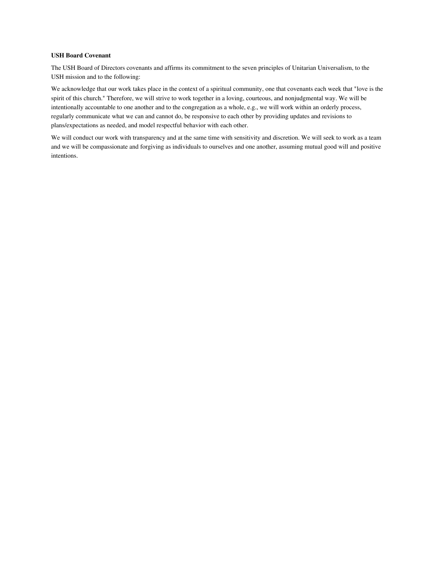#### **USH Board Covenant**

The USH Board of Directors covenants and affirms its commitment to the seven principles of Unitarian Universalism, to the USH mission and to the following:

We acknowledge that our work takes place in the context of a spiritual community, one that covenants each week that "love is the spirit of this church." Therefore, we will strive to work together in a loving, courteous, and nonjudgmental way. We will be intentionally accountable to one another and to the congregation as a whole, e.g., we will work within an orderly process, regularly communicate what we can and cannot do, be responsive to each other by providing updates and revisions to plans/expectations as needed, and model respectful behavior with each other.

We will conduct our work with transparency and at the same time with sensitivity and discretion. We will seek to work as a team and we will be compassionate and forgiving as individuals to ourselves and one another, assuming mutual good will and positive intentions.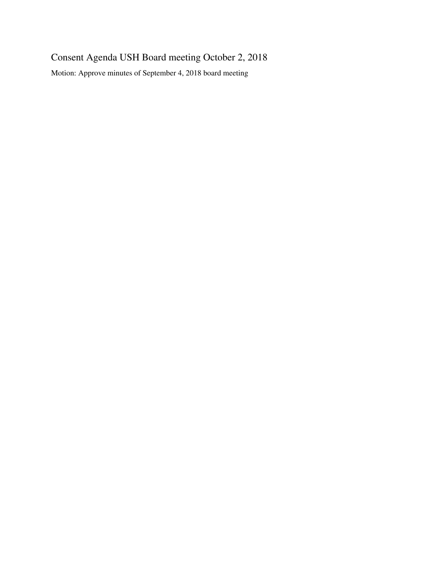# Consent Agenda USH Board meeting October 2, 2018

Motion: Approve minutes of September 4, 2018 board meeting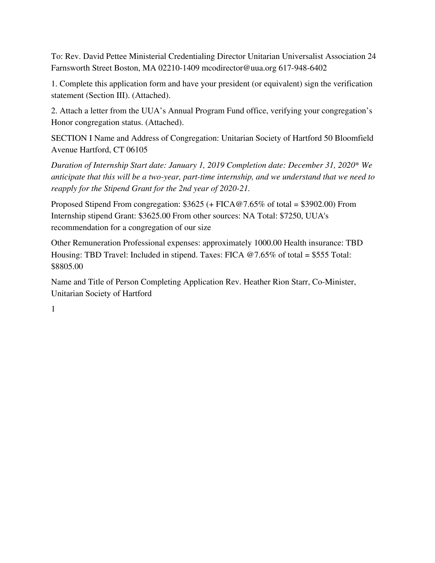To: Rev. David Pettee Ministerial Credentialing Director Unitarian Universalist Association 24 Farnsworth Street Boston, MA 02210-1409 mcodirector@uua.org 617-948-6402

1. Complete this application form and have your president (or equivalent) sign the verification statement (Section III). (Attached).

2. Attach a letter from the UUA's Annual Program Fund office, verifying your congregation's Honor congregation status. (Attached).

SECTION I Name and Address of Congregation: Unitarian Society of Hartford 50 Bloomfield Avenue Hartford, CT 06105

*Duration of Internship Start date: January 1, 2019 Completion date: December 31, 2020\* We anticipate that this will be a two-year, part-time internship, and we understand that we need to reapply for the Stipend Grant for the 2nd year of 2020-21.*

Proposed Stipend From congregation: \$3625 (+ FICA@7.65% of total = \$3902.00) From Internship stipend Grant: \$3625.00 From other sources: NA Total: \$7250, UUA's recommendation for a congregation of our size

Other Remuneration Professional expenses: approximately 1000.00 Health insurance: TBD Housing: TBD Travel: Included in stipend. Taxes: FICA @7.65% of total = \$555 Total: \$8805.00

Name and Title of Person Completing Application Rev. Heather Rion Starr, Co-Minister, Unitarian Society of Hartford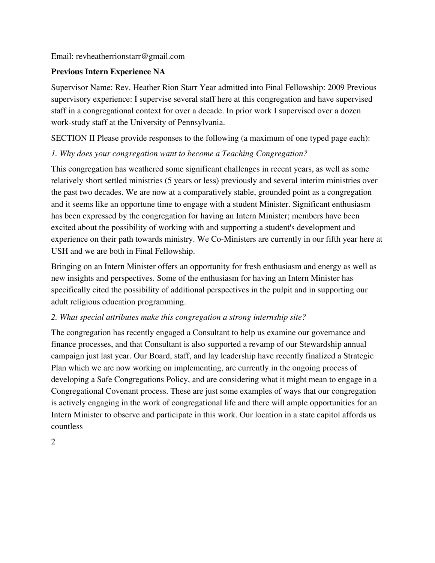Email: revheatherrionstarr@gmail.com

### **Previous Intern Experience NA**

Supervisor Name: Rev. Heather Rion Starr Year admitted into Final Fellowship: 2009 Previous supervisory experience: I supervise several staff here at this congregation and have supervised staff in a congregational context for over a decade. In prior work I supervised over a dozen work-study staff at the University of Pennsylvania.

SECTION II Please provide responses to the following (a maximum of one typed page each):

### *1. Why does your congregation want to become a Teaching Congregation?*

This congregation has weathered some significant challenges in recent years, as well as some relatively short settled ministries (5 years or less) previously and several interim ministries over the past two decades. We are now at a comparatively stable, grounded point as a congregation and it seems like an opportune time to engage with a student Minister. Significant enthusiasm has been expressed by the congregation for having an Intern Minister; members have been excited about the possibility of working with and supporting a student's development and experience on their path towards ministry. We Co-Ministers are currently in our fifth year here at USH and we are both in Final Fellowship.

Bringing on an Intern Minister offers an opportunity for fresh enthusiasm and energy as well as new insights and perspectives. Some of the enthusiasm for having an Intern Minister has specifically cited the possibility of additional perspectives in the pulpit and in supporting our adult religious education programming.

### *2. What special attributes make this congregation a strong internship site?*

The congregation has recently engaged a Consultant to help us examine our governance and finance processes, and that Consultant is also supported a revamp of our Stewardship annual campaign just last year. Our Board, staff, and lay leadership have recently finalized a Strategic Plan which we are now working on implementing, are currently in the ongoing process of developing a Safe Congregations Policy, and are considering what it might mean to engage in a Congregational Covenant process. These are just some examples of ways that our congregation is actively engaging in the work of congregational life and there will ample opportunities for an Intern Minister to observe and participate in this work. Our location in a state capitol affords us countless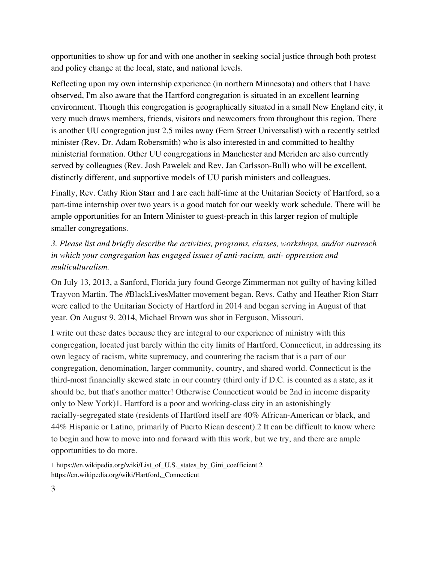opportunities to show up for and with one another in seeking social justice through both protest and policy change at the local, state, and national levels.

Reflecting upon my own internship experience (in northern Minnesota) and others that I have observed, I'm also aware that the Hartford congregation is situated in an excellent learning environment. Though this congregation is geographically situated in a small New England city, it very much draws members, friends, visitors and newcomers from throughout this region. There is another UU congregation just 2.5 miles away (Fern Street Universalist) with a recently settled minister (Rev. Dr. Adam Robersmith) who is also interested in and committed to healthy ministerial formation. Other UU congregations in Manchester and Meriden are also currently served by colleagues (Rev. Josh Pawelek and Rev. Jan Carlsson-Bull) who will be excellent, distinctly different, and supportive models of UU parish ministers and colleagues.

Finally, Rev. Cathy Rion Starr and I are each half-time at the Unitarian Society of Hartford, so a part-time internship over two years is a good match for our weekly work schedule. There will be ample opportunities for an Intern Minister to guest-preach in this larger region of multiple smaller congregations.

## *3. Please list and briefly describe the activities, programs, classes, workshops, and/or outreach in which your congregation has engaged issues of anti-racism, anti- oppression and multiculturalism.*

On July 13, 2013, a Sanford, Florida jury found George Zimmerman not guilty of having killed Trayvon Martin. The #BlackLivesMatter movement began. Revs. Cathy and Heather Rion Starr were called to the Unitarian Society of Hartford in 2014 and began serving in August of that year. On August 9, 2014, Michael Brown was shot in Ferguson, Missouri.

I write out these dates because they are integral to our experience of ministry with this congregation, located just barely within the city limits of Hartford, Connecticut, in addressing its own legacy of racism, white supremacy, and countering the racism that is a part of our congregation, denomination, larger community, country, and shared world. Connecticut is the third-most financially skewed state in our country (third only if D.C. is counted as a state, as it should be, but that's another matter! Otherwise Connecticut would be 2nd in income disparity only to New York)1. Hartford is a poor and working-class city in an astonishingly racially-segregated state (residents of Hartford itself are 40% African-American or black, and 44% Hispanic or Latino, primarily of Puerto Rican descent).2 It can be difficult to know where to begin and how to move into and forward with this work, but we try, and there are ample opportunities to do more.

1 https://en.wikipedia.org/wiki/List\_of\_U.S.\_states\_by\_Gini\_coefficient 2 https://en.wikipedia.org/wiki/Hartford,\_Connecticut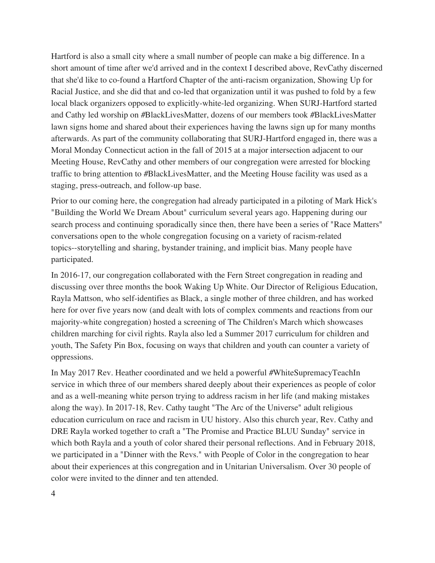Hartford is also a small city where a small number of people can make a big difference. In a short amount of time after we'd arrived and in the context I described above, RevCathy discerned that she'd like to co-found a Hartford Chapter of the anti-racism organization, Showing Up for Racial Justice, and she did that and co-led that organization until it was pushed to fold by a few local black organizers opposed to explicitly-white-led organizing. When SURJ-Hartford started and Cathy led worship on #BlackLivesMatter, dozens of our members took #BlackLivesMatter lawn signs home and shared about their experiences having the lawns sign up for many months afterwards. As part of the community collaborating that SURJ-Hartford engaged in, there was a Moral Monday Connecticut action in the fall of 2015 at a major intersection adjacent to our Meeting House, RevCathy and other members of our congregation were arrested for blocking traffic to bring attention to #BlackLivesMatter, and the Meeting House facility was used as a staging, press-outreach, and follow-up base.

Prior to our coming here, the congregation had already participated in a piloting of Mark Hick's "Building the World We Dream About" curriculum several years ago. Happening during our search process and continuing sporadically since then, there have been a series of "Race Matters" conversations open to the whole congregation focusing on a variety of racism-related topics--storytelling and sharing, bystander training, and implicit bias. Many people have participated.

In 2016-17, our congregation collaborated with the Fern Street congregation in reading and discussing over three months the book Waking Up White. Our Director of Religious Education, Rayla Mattson, who self-identifies as Black, a single mother of three children, and has worked here for over five years now (and dealt with lots of complex comments and reactions from our majority-white congregation) hosted a screening of The Children's March which showcases children marching for civil rights. Rayla also led a Summer 2017 curriculum for children and youth, The Safety Pin Box, focusing on ways that children and youth can counter a variety of oppressions.

In May 2017 Rev. Heather coordinated and we held a powerful #WhiteSupremacyTeachIn service in which three of our members shared deeply about their experiences as people of color and as a well-meaning white person trying to address racism in her life (and making mistakes along the way). In 2017-18, Rev. Cathy taught "The Arc of the Universe" adult religious education curriculum on race and racism in UU history. Also this church year, Rev. Cathy and DRE Rayla worked together to craft a "The Promise and Practice BLUU Sunday" service in which both Rayla and a youth of color shared their personal reflections. And in February 2018, we participated in a "Dinner with the Revs." with People of Color in the congregation to hear about their experiences at this congregation and in Unitarian Universalism. Over 30 people of color were invited to the dinner and ten attended.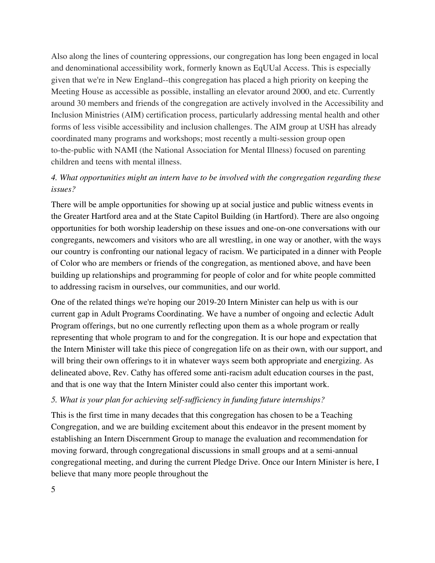Also along the lines of countering oppressions, our congregation has long been engaged in local and denominational accessibility work, formerly known as EqUUal Access. This is especially given that we're in New England--this congregation has placed a high priority on keeping the Meeting House as accessible as possible, installing an elevator around 2000, and etc. Currently around 30 members and friends of the congregation are actively involved in the Accessibility and Inclusion Ministries (AIM) certification process, particularly addressing mental health and other forms of less visible accessibility and inclusion challenges. The AIM group at USH has already coordinated many programs and workshops; most recently a multi-session group open to-the-public with NAMI (the National Association for Mental Illness) focused on parenting children and teens with mental illness.

### *4. What opportunities might an intern have to be involved with the congregation regarding these issues?*

There will be ample opportunities for showing up at social justice and public witness events in the Greater Hartford area and at the State Capitol Building (in Hartford). There are also ongoing opportunities for both worship leadership on these issues and one-on-one conversations with our congregants, newcomers and visitors who are all wrestling, in one way or another, with the ways our country is confronting our national legacy of racism. We participated in a dinner with People of Color who are members or friends of the congregation, as mentioned above, and have been building up relationships and programming for people of color and for white people committed to addressing racism in ourselves, our communities, and our world.

One of the related things we're hoping our 2019-20 Intern Minister can help us with is our current gap in Adult Programs Coordinating. We have a number of ongoing and eclectic Adult Program offerings, but no one currently reflecting upon them as a whole program or really representing that whole program to and for the congregation. It is our hope and expectation that the Intern Minister will take this piece of congregation life on as their own, with our support, and will bring their own offerings to it in whatever ways seem both appropriate and energizing. As delineated above, Rev. Cathy has offered some anti-racism adult education courses in the past, and that is one way that the Intern Minister could also center this important work.

### *5. What is your plan for achieving self-suf iciency in funding future internships?*

This is the first time in many decades that this congregation has chosen to be a Teaching Congregation, and we are building excitement about this endeavor in the present moment by establishing an Intern Discernment Group to manage the evaluation and recommendation for moving forward, through congregational discussions in small groups and at a semi-annual congregational meeting, and during the current Pledge Drive. Once our Intern Minister is here, I believe that many more people throughout the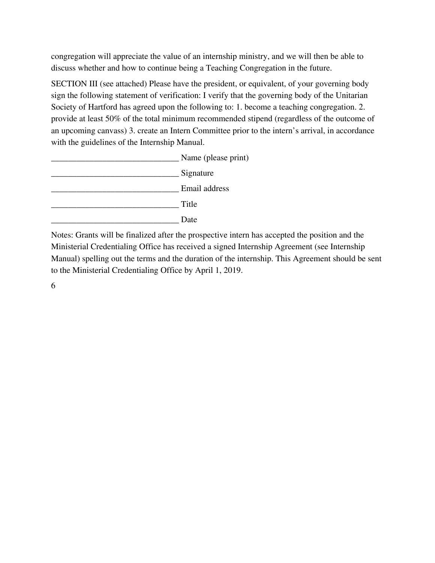congregation will appreciate the value of an internship ministry, and we will then be able to discuss whether and how to continue being a Teaching Congregation in the future.

SECTION III (see attached) Please have the president, or equivalent, of your governing body sign the following statement of verification: I verify that the governing body of the Unitarian Society of Hartford has agreed upon the following to: 1. become a teaching congregation. 2. provide at least 50% of the total minimum recommended stipend (regardless of the outcome of an upcoming canvass) 3. create an Intern Committee prior to the intern's arrival, in accordance with the guidelines of the Internship Manual.



Notes: Grants will be finalized after the prospective intern has accepted the position and the Ministerial Credentialing Office has received a signed Internship Agreement (see Internship Manual) spelling out the terms and the duration of the internship. This Agreement should be sent to the Ministerial Credentialing Office by April 1, 2019.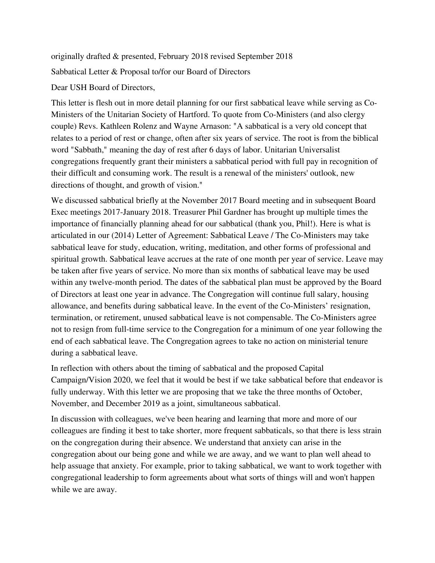originally drafted & presented, February 2018 revised September 2018 Sabbatical Letter & Proposal to/for our Board of Directors

#### Dear USH Board of Directors,

This letter is flesh out in more detail planning for our first sabbatical leave while serving as Co-Ministers of the Unitarian Society of Hartford. To quote from Co-Ministers (and also clergy couple) Revs. Kathleen Rolenz and Wayne Arnason: "A sabbatical is a very old concept that relates to a period of rest or change, often after six years of service. The root is from the biblical word "Sabbath," meaning the day of rest after 6 days of labor. Unitarian Universalist congregations frequently grant their ministers a sabbatical period with full pay in recognition of their difficult and consuming work. The result is a renewal of the ministers' outlook, new directions of thought, and growth of vision."

We discussed sabbatical briefly at the November 2017 Board meeting and in subsequent Board Exec meetings 2017-January 2018. Treasurer Phil Gardner has brought up multiple times the importance of financially planning ahead for our sabbatical (thank you, Phil!). Here is what is articulated in our (2014) Letter of Agreement: Sabbatical Leave / The Co-Ministers may take sabbatical leave for study, education, writing, meditation, and other forms of professional and spiritual growth. Sabbatical leave accrues at the rate of one month per year of service. Leave may be taken after five years of service. No more than six months of sabbatical leave may be used within any twelve-month period. The dates of the sabbatical plan must be approved by the Board of Directors at least one year in advance. The Congregation will continue full salary, housing allowance, and benefits during sabbatical leave. In the event of the Co-Ministers' resignation, termination, or retirement, unused sabbatical leave is not compensable. The Co-Ministers agree not to resign from full-time service to the Congregation for a minimum of one year following the end of each sabbatical leave. The Congregation agrees to take no action on ministerial tenure during a sabbatical leave.

In reflection with others about the timing of sabbatical and the proposed Capital Campaign/Vision 2020, we feel that it would be best if we take sabbatical before that endeavor is fully underway. With this letter we are proposing that we take the three months of October, November, and December 2019 as a joint, simultaneous sabbatical.

In discussion with colleagues, we've been hearing and learning that more and more of our colleagues are finding it best to take shorter, more frequent sabbaticals, so that there is less strain on the congregation during their absence. We understand that anxiety can arise in the congregation about our being gone and while we are away, and we want to plan well ahead to help assuage that anxiety. For example, prior to taking sabbatical, we want to work together with congregational leadership to form agreements about what sorts of things will and won't happen while we are away.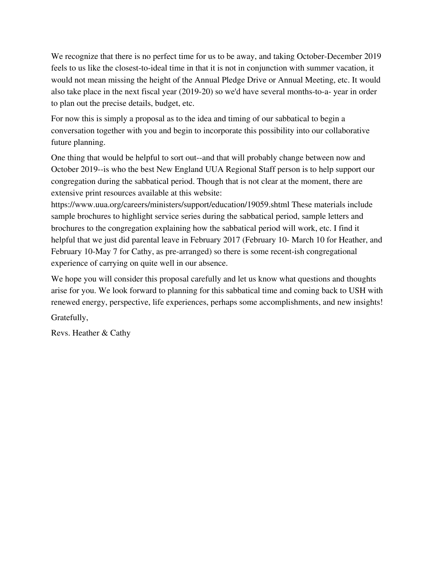We recognize that there is no perfect time for us to be away, and taking October-December 2019 feels to us like the closest-to-ideal time in that it is not in conjunction with summer vacation, it would not mean missing the height of the Annual Pledge Drive or Annual Meeting, etc. It would also take place in the next fiscal year (2019-20) so we'd have several months-to-a- year in order to plan out the precise details, budget, etc.

For now this is simply a proposal as to the idea and timing of our sabbatical to begin a conversation together with you and begin to incorporate this possibility into our collaborative future planning.

One thing that would be helpful to sort out--and that will probably change between now and October 2019--is who the best New England UUA Regional Staff person is to help support our congregation during the sabbatical period. Though that is not clear at the moment, there are extensive print resources available at this website:

https://www.uua.org/careers/ministers/support/education/19059.shtml These materials include sample brochures to highlight service series during the sabbatical period, sample letters and brochures to the congregation explaining how the sabbatical period will work, etc. I find it helpful that we just did parental leave in February 2017 (February 10- March 10 for Heather, and February 10-May 7 for Cathy, as pre-arranged) so there is some recent-ish congregational experience of carrying on quite well in our absence.

We hope you will consider this proposal carefully and let us know what questions and thoughts arise for you. We look forward to planning for this sabbatical time and coming back to USH with renewed energy, perspective, life experiences, perhaps some accomplishments, and new insights!

Gratefully,

Revs. Heather & Cathy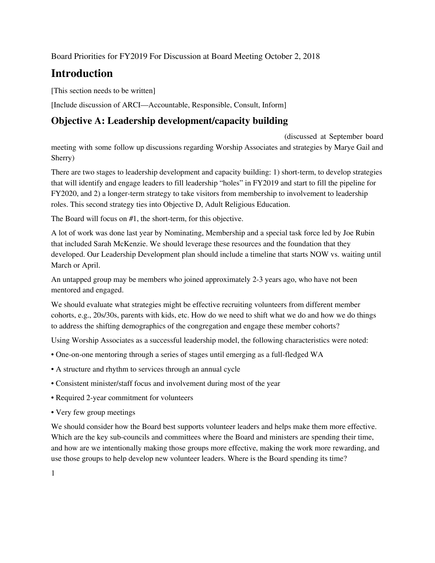Board Priorities for FY2019 For Discussion at Board Meeting October 2, 2018

# **Introduction**

[This section needs to be written]

[Include discussion of ARCI—Accountable, Responsible, Consult, Inform]

## **Objective A: Leadership development/capacity building**

(discussed at September board meeting with some follow up discussions regarding Worship Associates and strategies by Marye Gail and Sherry)

There are two stages to leadership development and capacity building: 1) short-term, to develop strategies that will identify and engage leaders to fill leadership "holes" in FY2019 and start to fill the pipeline for FY2020, and 2) a longer-term strategy to take visitors from membership to involvement to leadership roles. This second strategy ties into Objective D, Adult Religious Education.

The Board will focus on #1, the short-term, for this objective.

A lot of work was done last year by Nominating, Membership and a special task force led by Joe Rubin that included Sarah McKenzie. We should leverage these resources and the foundation that they developed. Our Leadership Development plan should include a timeline that starts NOW vs. waiting until March or April.

An untapped group may be members who joined approximately 2-3 years ago, who have not been mentored and engaged.

We should evaluate what strategies might be effective recruiting volunteers from different member cohorts, e.g., 20s/30s, parents with kids, etc. How do we need to shift what we do and how we do things to address the shifting demographics of the congregation and engage these member cohorts?

Using Worship Associates as a successful leadership model, the following characteristics were noted:

- One-on-one mentoring through a series of stages until emerging as a full-fledged WA
- A structure and rhythm to services through an annual cycle
- Consistent minister/staff focus and involvement during most of the year
- Required 2-year commitment for volunteers
- Very few group meetings

We should consider how the Board best supports volunteer leaders and helps make them more effective. Which are the key sub-councils and committees where the Board and ministers are spending their time, and how are we intentionally making those groups more effective, making the work more rewarding, and use those groups to help develop new volunteer leaders. Where is the Board spending its time?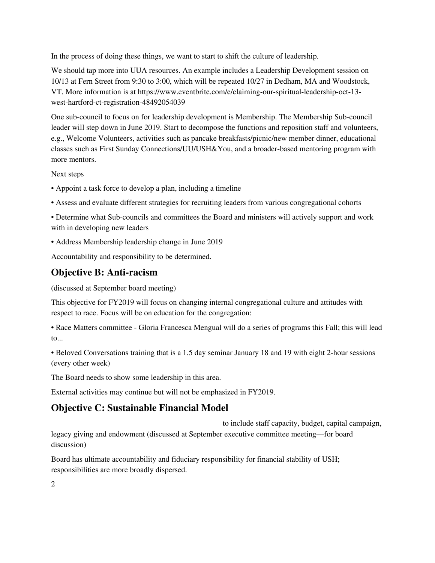In the process of doing these things, we want to start to shift the culture of leadership.

We should tap more into UUA resources. An example includes a Leadership Development session on 10/13 at Fern Street from 9:30 to 3:00, which will be repeated 10/27 in Dedham, MA and Woodstock, VT. More information is at https://www.eventbrite.com/e/claiming-our-spiritual-leadership-oct-13 west-hartford-ct-registration-48492054039

One sub-council to focus on for leadership development is Membership. The Membership Sub-council leader will step down in June 2019. Start to decompose the functions and reposition staff and volunteers, e.g., Welcome Volunteers, activities such as pancake breakfasts/picnic/new member dinner, educational classes such as First Sunday Connections/UU/USH&You, and a broader-based mentoring program with more mentors.

Next steps

- Appoint a task force to develop a plan, including a timeline
- Assess and evaluate different strategies for recruiting leaders from various congregational cohorts

• Determine what Sub-councils and committees the Board and ministers will actively support and work with in developing new leaders

• Address Membership leadership change in June 2019

Accountability and responsibility to be determined.

## **Objective B: Anti-racism**

(discussed at September board meeting)

This objective for FY2019 will focus on changing internal congregational culture and attitudes with respect to race. Focus will be on education for the congregation:

• Race Matters committee - Gloria Francesca Mengual will do a series of programs this Fall; this will lead to...

• Beloved Conversations training that is a 1.5 day seminar January 18 and 19 with eight 2-hour sessions (every other week)

The Board needs to show some leadership in this area.

External activities may continue but will not be emphasized in FY2019.

# **Objective C: Sustainable Financial Model**

to include staff capacity, budget, capital campaign, legacy giving and endowment (discussed at September executive committee meeting—for board discussion)

Board has ultimate accountability and fiduciary responsibility for financial stability of USH; responsibilities are more broadly dispersed.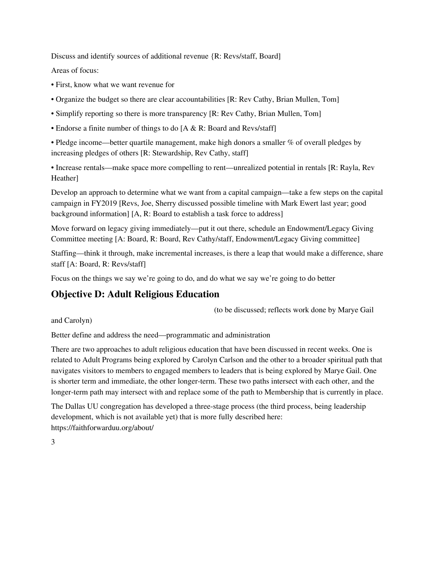Discuss and identify sources of additional revenue {R: Revs/staff, Board]

Areas of focus:

- First, know what we want revenue for
- Organize the budget so there are clear accountabilities [R: Rev Cathy, Brian Mullen, Tom]
- Simplify reporting so there is more transparency [R: Rev Cathy, Brian Mullen, Tom]
- Endorse a finite number of things to do [A & R: Board and Revs/staff]

• Pledge income—better quartile management, make high donors a smaller % of overall pledges by increasing pledges of others [R: Stewardship, Rev Cathy, staff]

• Increase rentals—make space more compelling to rent—unrealized potential in rentals [R: Rayla, Rev Heather]

Develop an approach to determine what we want from a capital campaign—take a few steps on the capital campaign in FY2019 [Revs, Joe, Sherry discussed possible timeline with Mark Ewert last year; good background information] [A, R: Board to establish a task force to address]

Move forward on legacy giving immediately—put it out there, schedule an Endowment/Legacy Giving Committee meeting [A: Board, R: Board, Rev Cathy/staff, Endowment/Legacy Giving committee]

Staffing—think it through, make incremental increases, is there a leap that would make a difference, share staff [A: Board, R: Revs/staff]

Focus on the things we say we're going to do, and do what we say we're going to do better

# **Objective D: Adult Religious Education**

(to be discussed; reflects work done by Marye Gail

and Carolyn)

Better define and address the need—programmatic and administration

There are two approaches to adult religious education that have been discussed in recent weeks. One is related to Adult Programs being explored by Carolyn Carlson and the other to a broader spiritual path that navigates visitors to members to engaged members to leaders that is being explored by Marye Gail. One is shorter term and immediate, the other longer-term. These two paths intersect with each other, and the longer-term path may intersect with and replace some of the path to Membership that is currently in place.

The Dallas UU congregation has developed a three-stage process (the third process, being leadership development, which is not available yet) that is more fully described here: https://faithforwarduu.org/about/